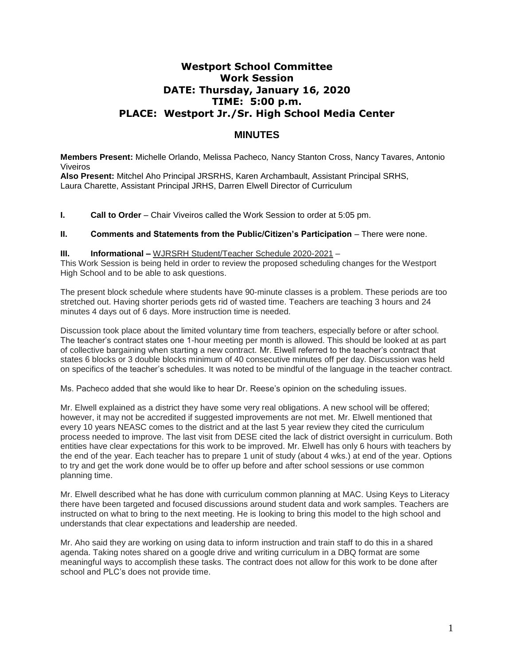# **Westport School Committee Work Session DATE: Thursday, January 16, 2020 TIME: 5:00 p.m. PLACE: Westport Jr./Sr. High School Media Center**

## **MINUTES**

**Members Present:** Michelle Orlando, Melissa Pacheco*,* Nancy Stanton Cross, Nancy Tavares, Antonio Viveiros

**Also Present:** Mitchel Aho Principal JRSRHS, Karen Archambault, Assistant Principal SRHS, Laura Charette, Assistant Principal JRHS, Darren Elwell Director of Curriculum

**I. Call to Order** – Chair Viveiros called the Work Session to order at 5:05 pm.

### **II. Comments and Statements from the Public/Citizen's Participation** – There were none.

#### **III. Informational –** WJRSRH Student/Teacher Schedule 2020-2021 –

This Work Session is being held in order to review the proposed scheduling changes for the Westport High School and to be able to ask questions.

The present block schedule where students have 90-minute classes is a problem. These periods are too stretched out. Having shorter periods gets rid of wasted time. Teachers are teaching 3 hours and 24 minutes 4 days out of 6 days. More instruction time is needed.

Discussion took place about the limited voluntary time from teachers, especially before or after school. The teacher's contract states one 1-hour meeting per month is allowed. This should be looked at as part of collective bargaining when starting a new contract. Mr. Elwell referred to the teacher's contract that states 6 blocks or 3 double blocks minimum of 40 consecutive minutes off per day. Discussion was held on specifics of the teacher's schedules. It was noted to be mindful of the language in the teacher contract.

Ms. Pacheco added that she would like to hear Dr. Reese's opinion on the scheduling issues.

Mr. Elwell explained as a district they have some very real obligations. A new school will be offered; however, it may not be accredited if suggested improvements are not met. Mr. Elwell mentioned that every 10 years NEASC comes to the district and at the last 5 year review they cited the curriculum process needed to improve. The last visit from DESE cited the lack of district oversight in curriculum. Both entities have clear expectations for this work to be improved. Mr. Elwell has only 6 hours with teachers by the end of the year. Each teacher has to prepare 1 unit of study (about 4 wks.) at end of the year. Options to try and get the work done would be to offer up before and after school sessions or use common planning time.

Mr. Elwell described what he has done with curriculum common planning at MAC. Using Keys to Literacy there have been targeted and focused discussions around student data and work samples. Teachers are instructed on what to bring to the next meeting. He is looking to bring this model to the high school and understands that clear expectations and leadership are needed.

Mr. Aho said they are working on using data to inform instruction and train staff to do this in a shared agenda. Taking notes shared on a google drive and writing curriculum in a DBQ format are some meaningful ways to accomplish these tasks. The contract does not allow for this work to be done after school and PLC's does not provide time.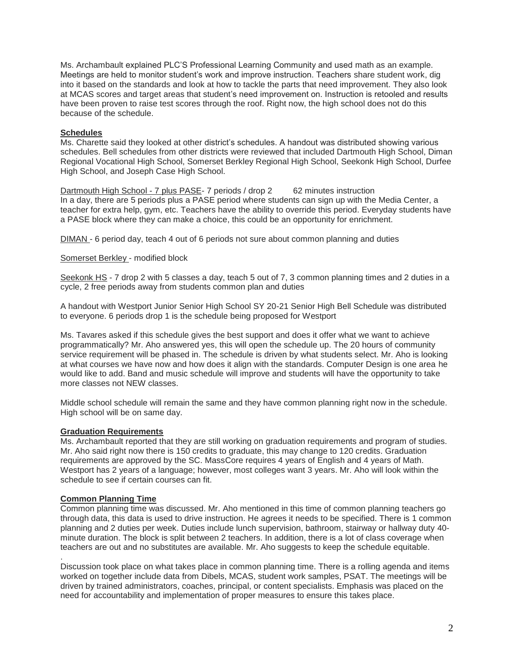Ms. Archambault explained PLC'S Professional Learning Community and used math as an example. Meetings are held to monitor student's work and improve instruction. Teachers share student work, dig into it based on the standards and look at how to tackle the parts that need improvement. They also look at MCAS scores and target areas that student's need improvement on. Instruction is retooled and results have been proven to raise test scores through the roof. Right now, the high school does not do this because of the schedule.

## **Schedules**

Ms. Charette said they looked at other district's schedules. A handout was distributed showing various schedules. Bell schedules from other districts were reviewed that included Dartmouth High School, Diman Regional Vocational High School, Somerset Berkley Regional High School, Seekonk High School, Durfee High School, and Joseph Case High School.

Dartmouth High School - 7 plus PASE- 7 periods / drop 2 62 minutes instruction In a day, there are 5 periods plus a PASE period where students can sign up with the Media Center, a teacher for extra help, gym, etc. Teachers have the ability to override this period. Everyday students have a PASE block where they can make a choice, this could be an opportunity for enrichment.

DIMAN - 6 period day, teach 4 out of 6 periods not sure about common planning and duties

## Somerset Berkley - modified block

Seekonk HS - 7 drop 2 with 5 classes a day, teach 5 out of 7, 3 common planning times and 2 duties in a cycle, 2 free periods away from students common plan and duties

A handout with Westport Junior Senior High School SY 20-21 Senior High Bell Schedule was distributed to everyone. 6 periods drop 1 is the schedule being proposed for Westport

Ms. Tavares asked if this schedule gives the best support and does it offer what we want to achieve programmatically? Mr. Aho answered yes, this will open the schedule up. The 20 hours of community service requirement will be phased in. The schedule is driven by what students select. Mr. Aho is looking at what courses we have now and how does it align with the standards. Computer Design is one area he would like to add. Band and music schedule will improve and students will have the opportunity to take more classes not NEW classes.

Middle school schedule will remain the same and they have common planning right now in the schedule. High school will be on same day.

### **Graduation Requirements**

Ms. Archambault reported that they are still working on graduation requirements and program of studies. Mr. Aho said right now there is 150 credits to graduate, this may change to 120 credits. Graduation requirements are approved by the SC. MassCore requires 4 years of English and 4 years of Math. Westport has 2 years of a language; however, most colleges want 3 years. Mr. Aho will look within the schedule to see if certain courses can fit.

## **Common Planning Time**

Common planning time was discussed. Mr. Aho mentioned in this time of common planning teachers go through data, this data is used to drive instruction. He agrees it needs to be specified. There is 1 common planning and 2 duties per week. Duties include lunch supervision, bathroom, stairway or hallway duty 40 minute duration. The block is split between 2 teachers. In addition, there is a lot of class coverage when teachers are out and no substitutes are available. Mr. Aho suggests to keep the schedule equitable.

. Discussion took place on what takes place in common planning time. There is a rolling agenda and items worked on together include data from Dibels, MCAS, student work samples, PSAT. The meetings will be driven by trained administrators, coaches, principal, or content specialists. Emphasis was placed on the need for accountability and implementation of proper measures to ensure this takes place.